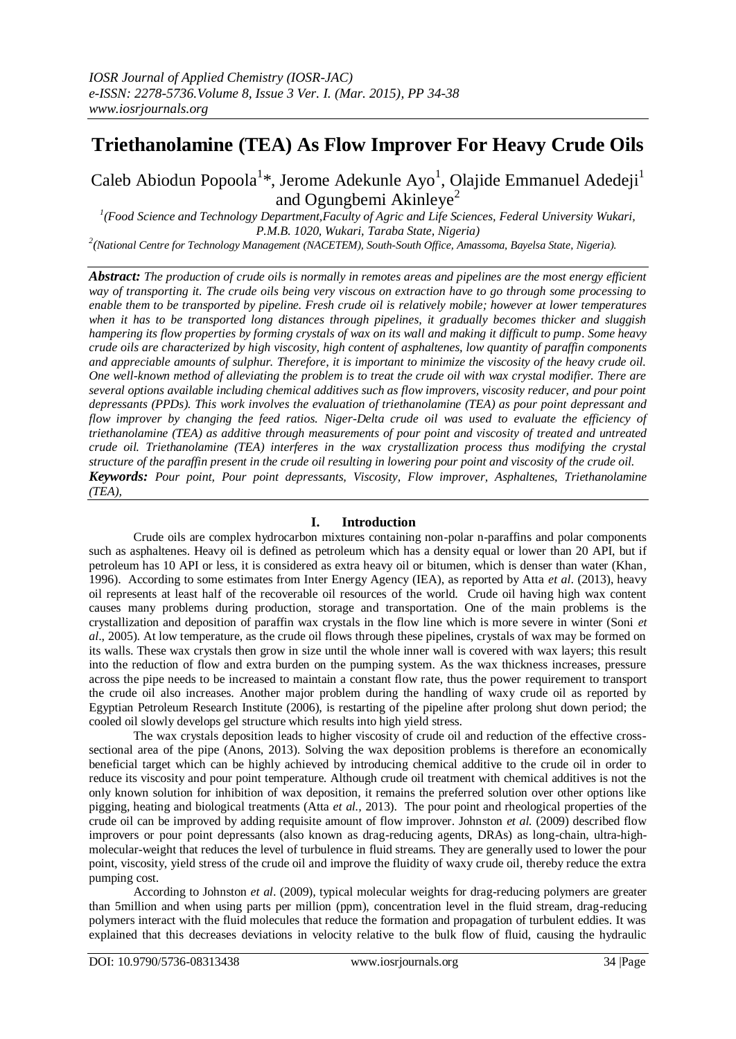# **Triethanolamine (TEA) As Flow Improver For Heavy Crude Oils**

Caleb Abiodun Popoola<sup>1</sup>\*, Jerome Adekunle Ayo<sup>1</sup>, Olajide Emmanuel Adedeji<sup>1</sup> and Ogungbemi Akinleye<sup>2</sup>

*1 (Food Science and Technology Department,Faculty of Agric and Life Sciences, Federal University Wukari, P.M.B. 1020, Wukari, Taraba State, Nigeria)*

*2 (National Centre for Technology Management (NACETEM), South-South Office, Amassoma, Bayelsa State, Nigeria).*

*Abstract: The production of crude oils is normally in remotes areas and pipelines are the most energy efficient way of transporting it. The crude oils being very viscous on extraction have to go through some processing to enable them to be transported by pipeline. Fresh crude oil is relatively mobile; however at lower temperatures when it has to be transported long distances through pipelines, it gradually becomes thicker and sluggish hampering its flow properties by forming crystals of wax on its wall and making it difficult to pump. Some heavy crude oils are characterized by high viscosity, high content of asphaltenes, low quantity of paraffin components and appreciable amounts of sulphur. Therefore, it is important to minimize the viscosity of the heavy crude oil. One well-known method of alleviating the problem is to treat the crude oil with wax crystal modifier. There are several options available including chemical additives such as flow improvers, viscosity reducer, and pour point depressants (PPDs). This work involves the evaluation of triethanolamine (TEA) as pour point depressant and flow improver by changing the feed ratios. Niger-Delta crude oil was used to evaluate the efficiency of triethanolamine (TEA) as additive through measurements of pour point and viscosity of treated and untreated crude oil. Triethanolamine (TEA) interferes in the wax crystallization process thus modifying the crystal structure of the paraffin present in the crude oil resulting in lowering pour point and viscosity of the crude oil. Keywords: Pour point, Pour point depressants, Viscosity, Flow improver, Asphaltenes, Triethanolamine (TEA),*

## **I. Introduction**

Crude oils are complex hydrocarbon mixtures containing non-polar n-paraffins and polar components such as asphaltenes. Heavy oil is defined as petroleum which has a density equal or lower than 20 API, but if petroleum has 10 API or less, it is considered as extra heavy oil or bitumen, which is denser than water (Khan*,* 1996). According to some estimates from Inter Energy Agency (IEA), as reported by Atta *et al*. (2013), heavy oil represents at least half of the recoverable oil resources of the world. Crude oil having high wax content causes many problems during production, storage and transportation. One of the main problems is the crystallization and deposition of paraffin wax crystals in the flow line which is more severe in winter (Soni *et al*., 2005). At low temperature, as the crude oil flows through these pipelines, crystals of wax may be formed on its walls. These wax crystals then grow in size until the whole inner wall is covered with wax layers; this result into the reduction of flow and extra burden on the pumping system. As the wax thickness increases, pressure across the pipe needs to be increased to maintain a constant flow rate, thus the power requirement to transport the crude oil also increases. Another major problem during the handling of waxy crude oil as reported by Egyptian Petroleum Research Institute (2006), is restarting of the pipeline after prolong shut down period; the cooled oil slowly develops gel structure which results into high yield stress.

The wax crystals deposition leads to higher viscosity of crude oil and reduction of the effective crosssectional area of the pipe (Anons, 2013). Solving the wax deposition problems is therefore an economically beneficial target which can be highly achieved by introducing chemical additive to the crude oil in order to reduce its viscosity and pour point temperature. Although crude oil treatment with chemical additives is not the only known solution for inhibition of wax deposition, it remains the preferred solution over other options like pigging, heating and biological treatments (Atta *et al.,* 2013). The pour point and rheological properties of the crude oil can be improved by adding requisite amount of flow improver. Johnston *et al.* (2009) described flow improvers or pour point depressants (also known as drag-reducing agents, DRAs) as long-chain, ultra-highmolecular-weight that reduces the level of turbulence in fluid streams. They are generally used to lower the pour point, viscosity, yield stress of the crude oil and improve the fluidity of waxy crude oil, thereby reduce the extra pumping cost.

According to Johnston *et al*. (2009), typical molecular weights for drag-reducing polymers are greater than 5million and when using parts per million (ppm), concentration level in the fluid stream, drag-reducing polymers interact with the fluid molecules that reduce the formation and propagation of turbulent eddies. It was explained that this decreases deviations in velocity relative to the bulk flow of fluid, causing the hydraulic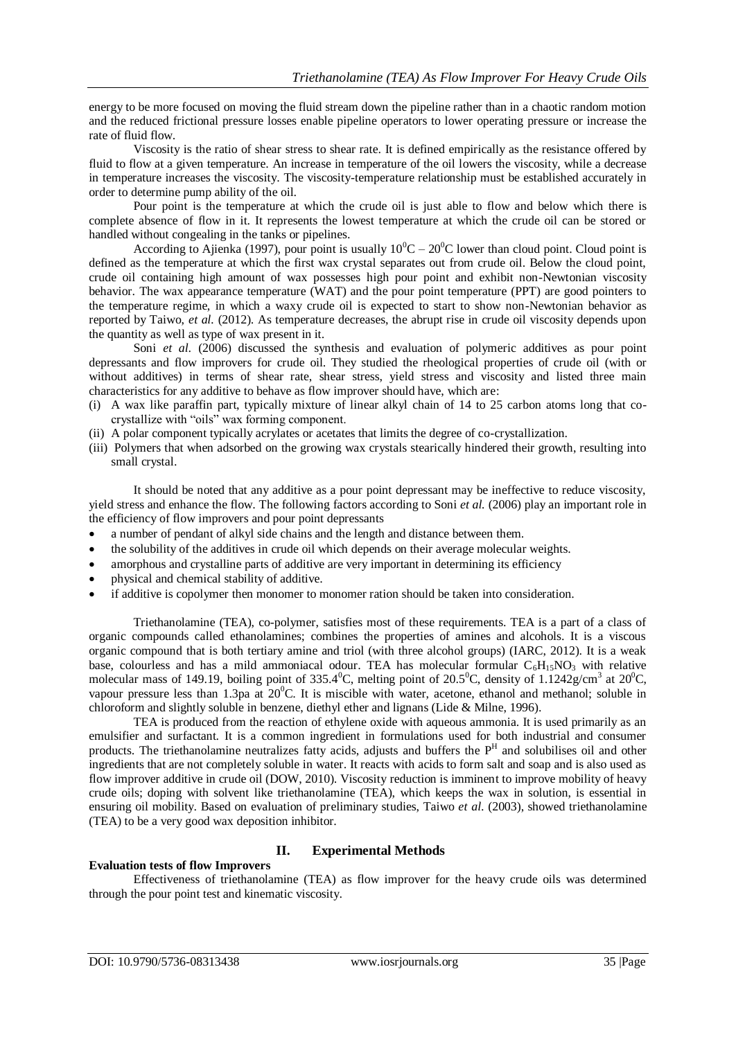energy to be more focused on moving the fluid stream down the pipeline rather than in a chaotic random motion and the reduced frictional pressure losses enable pipeline operators to lower operating pressure or increase the rate of fluid flow.

Viscosity is the ratio of shear stress to shear rate. It is defined empirically as the resistance offered by fluid to flow at a given temperature. An increase in temperature of the oil lowers the viscosity, while a decrease in temperature increases the viscosity. The viscosity-temperature relationship must be established accurately in order to determine pump ability of the oil.

Pour point is the temperature at which the crude oil is just able to flow and below which there is complete absence of flow in it. It represents the lowest temperature at which the crude oil can be stored or handled without congealing in the tanks or pipelines.

According to Ajienka (1997), pour point is usually  $10^0C - 20^0C$  lower than cloud point. Cloud point is defined as the temperature at which the first wax crystal separates out from crude oil. Below the cloud point, crude oil containing high amount of wax possesses high pour point and exhibit non-Newtonian viscosity behavior. The wax appearance temperature (WAT) and the pour point temperature (PPT) are good pointers to the temperature regime, in which a waxy crude oil is expected to start to show non-Newtonian behavior as reported by Taiwo, *et al.* (2012). As temperature decreases, the abrupt rise in crude oil viscosity depends upon the quantity as well as type of wax present in it.

Soni *et al.* (2006) discussed the synthesis and evaluation of polymeric additives as pour point depressants and flow improvers for crude oil. They studied the rheological properties of crude oil (with or without additives) in terms of shear rate, shear stress, yield stress and viscosity and listed three main characteristics for any additive to behave as flow improver should have, which are:

- (i) A wax like paraffin part, typically mixture of linear alkyl chain of 14 to 25 carbon atoms long that cocrystallize with "oils" wax forming component.
- (ii) A polar component typically acrylates or acetates that limits the degree of co-crystallization.
- (iii) Polymers that when adsorbed on the growing wax crystals stearically hindered their growth, resulting into small crystal.

It should be noted that any additive as a pour point depressant may be ineffective to reduce viscosity, yield stress and enhance the flow. The following factors according to Soni *et al.* (2006) play an important role in the efficiency of flow improvers and pour point depressants

- a number of pendant of alkyl side chains and the length and distance between them.
- the solubility of the additives in crude oil which depends on their average molecular weights.
- amorphous and crystalline parts of additive are very important in determining its efficiency
- physical and chemical stability of additive.
- if additive is copolymer then monomer to monomer ration should be taken into consideration.

Triethanolamine (TEA), co-polymer, satisfies most of these requirements. TEA is a part of a class of organic compounds called ethanolamines; combines the properties of amines and alcohols. It is a viscous organic compound that is both tertiary amine and triol (with three alcohol groups) (IARC, 2012). It is a weak base, colourless and has a mild ammoniacal odour. TEA has molecular formular  $C_6H_{15}NO_3$  with relative molecular mass of 149.19, boiling point of 335.4<sup>0</sup>C, melting point of 20.5<sup>0</sup>C, density of 1.1242g/cm<sup>3</sup> at 20<sup>0</sup>C, vapour pressure less than 1.3pa at 20<sup>o</sup>C. It is miscible with water, acetone, ethanol and methanol; soluble in chloroform and slightly soluble in benzene, diethyl ether and lignans (Lide & Milne, 1996).

TEA is produced from the reaction of ethylene oxide with aqueous ammonia. It is used primarily as an emulsifier and surfactant. It is a common ingredient in formulations used for both industrial and consumer products. The triethanolamine neutralizes fatty acids, adjusts and buffers the  $P<sup>H</sup>$  and solubilises oil and other ingredients that are not completely soluble in water. It reacts with acids to form salt and soap and is also used as flow improver additive in crude oil (DOW, 2010). Viscosity reduction is imminent to improve mobility of heavy crude oils; doping with solvent like triethanolamine (TEA), which keeps the wax in solution, is essential in ensuring oil mobility. Based on evaluation of preliminary studies, Taiwo *et al*. (2003), showed triethanolamine (TEA) to be a very good wax deposition inhibitor.

## **Evaluation tests of flow Improvers**

## **II. Experimental Methods**

Effectiveness of triethanolamine (TEA) as flow improver for the heavy crude oils was determined through the pour point test and kinematic viscosity.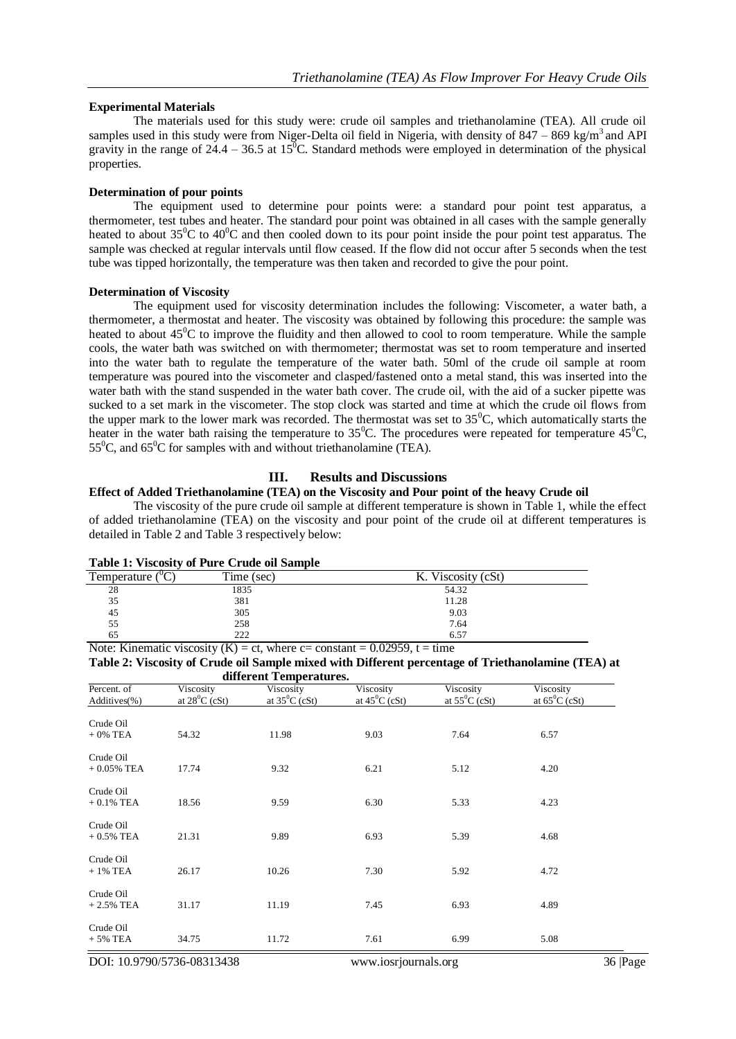#### **Experimental Materials**

The materials used for this study were: crude oil samples and triethanolamine (TEA). All crude oil samples used in this study were from Niger-Delta oil field in Nigeria, with density of  $847 - 869$  kg/m<sup>3</sup> and API gravity in the range of  $24.4 - 36.5$  at 15<sup>o</sup>C. Standard methods were employed in determination of the physical properties.

#### **Determination of pour points**

The equipment used to determine pour points were: a standard pour point test apparatus, a thermometer, test tubes and heater. The standard pour point was obtained in all cases with the sample generally heated to about  $35^{\circ}$ C to  $40^{\circ}$ C and then cooled down to its pour point inside the pour point test apparatus. The sample was checked at regular intervals until flow ceased. If the flow did not occur after 5 seconds when the test tube was tipped horizontally, the temperature was then taken and recorded to give the pour point.

#### **Determination of Viscosity**

The equipment used for viscosity determination includes the following: Viscometer, a water bath, a thermometer, a thermostat and heater. The viscosity was obtained by following this procedure: the sample was heated to about  $45^{\circ}$ C to improve the fluidity and then allowed to cool to room temperature. While the sample cools, the water bath was switched on with thermometer; thermostat was set to room temperature and inserted into the water bath to regulate the temperature of the water bath. 50ml of the crude oil sample at room temperature was poured into the viscometer and clasped/fastened onto a metal stand, this was inserted into the water bath with the stand suspended in the water bath cover. The crude oil, with the aid of a sucker pipette was sucked to a set mark in the viscometer. The stop clock was started and time at which the crude oil flows from the upper mark to the lower mark was recorded. The thermostat was set to  $35^{\circ}$ C, which automatically starts the heater in the water bath raising the temperature to 35<sup>o</sup>C. The procedures were repeated for temperature  $45^{\circ}$ C,  $55^{\circ}$ C, and  $65^{\circ}$ C for samples with and without triethanolamine (TEA).

## **III. Results and Discussions**

### **Effect of Added Triethanolamine (TEA) on the Viscosity and Pour point of the heavy Crude oil**

The viscosity of the pure crude oil sample at different temperature is shown in Table 1, while the effect of added triethanolamine (TEA) on the viscosity and pour point of the crude oil at different temperatures is detailed in Table 2 and Table 3 respectively below:

| Table 1. Viscosity of I are Crude on Bampic |            |                    |  |  |
|---------------------------------------------|------------|--------------------|--|--|
| Temperature                                 | Time (sec) | K. Viscosity (cSt) |  |  |
| 28                                          | 1835       | 54.32              |  |  |
| 35                                          | 381        | 11.28              |  |  |
| 45                                          | 305        | 9.03               |  |  |
| 55                                          | 258        | 7.64               |  |  |
| 65                                          | 222        | 6.57               |  |  |
| $- - -$<br>$ -$<br>$\sim$ $\sim$ $\sim$     | $  -$      | - - - - - -        |  |  |

|  | <b>Table 1: Viscosity of Pure Crude oil Sample</b> |  |  |  |  |  |
|--|----------------------------------------------------|--|--|--|--|--|
|--|----------------------------------------------------|--|--|--|--|--|

Note: Kinematic viscosity  $(K) = ct$ , where  $c = constant = 0.02959$ ,  $t = time$ **Table 2: Viscosity of Crude oil Sample mixed with Different percentage of Triethanolamine (TEA) at different Temperatures.** 

| unierent remperatures.      |                                      |                                      |                                      |                               |                                      |  |
|-----------------------------|--------------------------------------|--------------------------------------|--------------------------------------|-------------------------------|--------------------------------------|--|
| Percent. of<br>Additives(%) | Viscosity<br>at $28^{\circ}$ C (cSt) | Viscosity<br>at $35^{\circ}$ C (cSt) | Viscosity<br>at $45^{\circ}$ C (cSt) | Viscosity<br>at $55^0C$ (cSt) | Viscosity<br>at $65^{\circ}$ C (cSt) |  |
| Crude Oil<br>$+0\%$ TEA     | 54.32                                | 11.98                                | 9.03                                 | 7.64                          | 6.57                                 |  |
| Crude Oil<br>$+0.05\%$ TEA  | 17.74                                | 9.32                                 | 6.21                                 | 5.12                          | 4.20                                 |  |
| Crude Oil<br>$+0.1\%$ TEA   | 18.56                                | 9.59                                 | 6.30                                 | 5.33                          | 4.23                                 |  |
| Crude Oil<br>$+0.5\%$ TEA   | 21.31                                | 9.89                                 | 6.93                                 | 5.39                          | 4.68                                 |  |
| Crude Oil<br>$+1\%$ TEA     | 26.17                                | 10.26                                | 7.30                                 | 5.92                          | 4.72                                 |  |
| Crude Oil<br>$+2.5%$ TEA    | 31.17                                | 11.19                                | 7.45                                 | 6.93                          | 4.89                                 |  |
| Crude Oil<br>$+5\%$ TEA     | 34.75                                | 11.72                                | 7.61                                 | 6.99                          | 5.08                                 |  |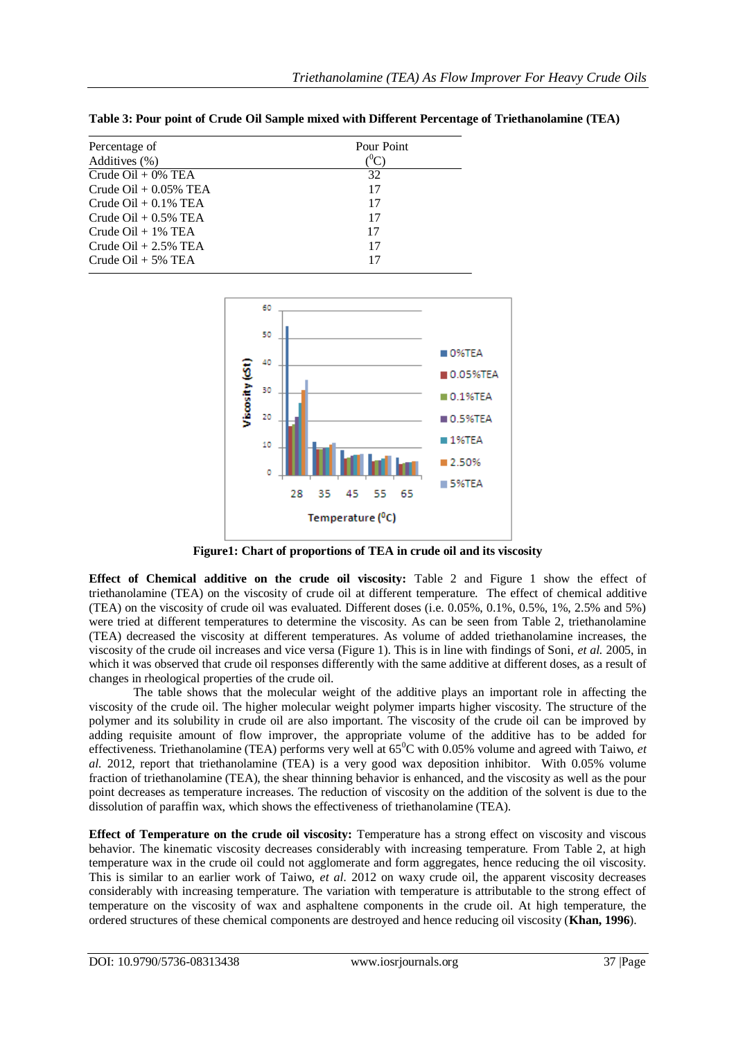| Percentage of                        | Pour Point |  |  |
|--------------------------------------|------------|--|--|
| Additives (%)                        |            |  |  |
| Crude $\text{Oil} + 0\% \text{ TEA}$ | 32         |  |  |
| Crude $\text{Oil} + 0.05\%$ TEA      | 17         |  |  |
| Crude Oil $+0.1\%$ TEA               | 17         |  |  |
| Crude $\text{Oil} + 0.5\%$ TEA       | 17         |  |  |
| Crude $\text{Oil} + 1\%$ TEA         | 17         |  |  |
| Crude $\text{Oil} + 2.5\%$ TEA       | 17         |  |  |
| Crude $\text{Oil} + 5\% \text{ TEA}$ | 17         |  |  |

**Table 3: Pour point of Crude Oil Sample mixed with Different Percentage of Triethanolamine (TEA)** 



**Figure1: Chart of proportions of TEA in crude oil and its viscosity**

**Effect of Chemical additive on the crude oil viscosity:** Table 2 and Figure 1 show the effect of triethanolamine (TEA) on the viscosity of crude oil at different temperature. The effect of chemical additive (TEA) on the viscosity of crude oil was evaluated. Different doses (i.e. 0.05%, 0.1%, 0.5%, 1%, 2.5% and 5%) were tried at different temperatures to determine the viscosity. As can be seen from Table 2, triethanolamine (TEA) decreased the viscosity at different temperatures. As volume of added triethanolamine increases, the viscosity of the crude oil increases and vice versa (Figure 1). This is in line with findings of Soni, *et al.* 2005, in which it was observed that crude oil responses differently with the same additive at different doses, as a result of changes in rheological properties of the crude oil.

The table shows that the molecular weight of the additive plays an important role in affecting the viscosity of the crude oil. The higher molecular weight polymer imparts higher viscosity. The structure of the polymer and its solubility in crude oil are also important. The viscosity of the crude oil can be improved by adding requisite amount of flow improver, the appropriate volume of the additive has to be added for effectiveness. Triethanolamine (TEA) performs very well at  $65^{\circ}$ C with 0.05% volume and agreed with Taiwo, *et al.* 2012, report that triethanolamine (TEA) is a very good wax deposition inhibitor. With 0.05% volume fraction of triethanolamine (TEA), the shear thinning behavior is enhanced, and the viscosity as well as the pour point decreases as temperature increases. The reduction of viscosity on the addition of the solvent is due to the dissolution of paraffin wax, which shows the effectiveness of triethanolamine (TEA).

**Effect of Temperature on the crude oil viscosity:** Temperature has a strong effect on viscosity and viscous behavior. The kinematic viscosity decreases considerably with increasing temperature. From Table 2, at high temperature wax in the crude oil could not agglomerate and form aggregates, hence reducing the oil viscosity. This is similar to an earlier work of Taiwo, *et al.* 2012 on waxy crude oil, the apparent viscosity decreases considerably with increasing temperature. The variation with temperature is attributable to the strong effect of temperature on the viscosity of wax and asphaltene components in the crude oil. At high temperature, the ordered structures of these chemical components are destroyed and hence reducing oil viscosity (**Khan, 1996**).